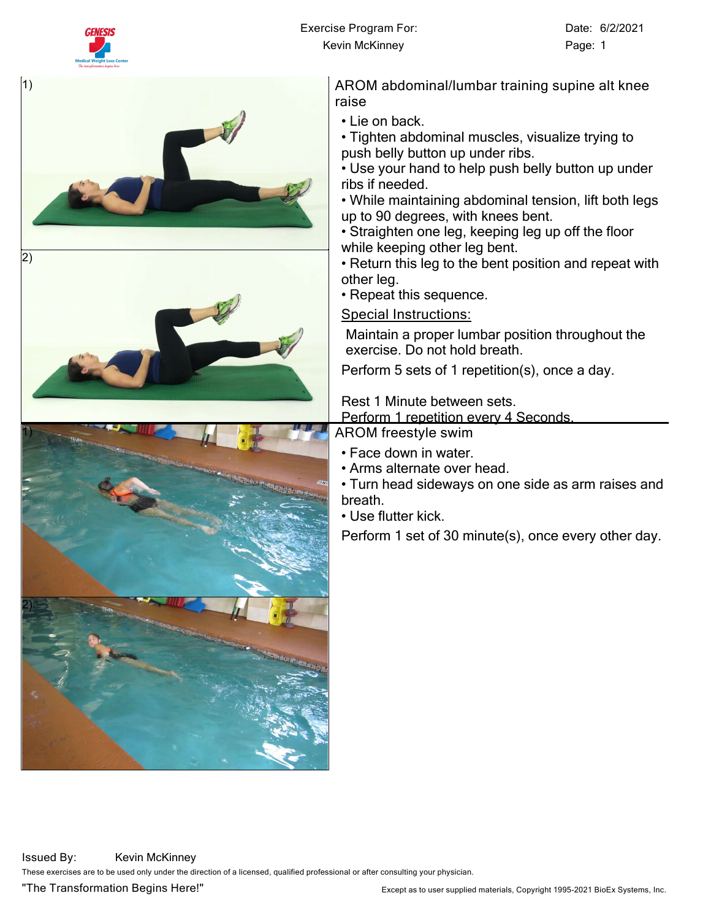



• Tighten abdominal muscles, visualize trying to push belly button up under ribs.

• Use your hand to help push belly button up under

• While maintaining abdominal tension, lift both legs up to 90 degrees, with knees bent.

• Straighten one leg, keeping leg up off the floor while keeping other leg bent.

• Return this leg to the bent position and repeat with

• Repeat this sequence.

**Special Instructions:**

Maintain a proper lumbar position throughout the exercise. Do not hold breath.

Perform 5 sets of 1 repetition(s), once a day.

Rest 1 Minute between sets.

Perform 1 repetition every 4 Seconds.

**AROM freestyle swim**

- Face down in water.
- Arms alternate over head.

• Turn head sideways on one side as arm raises and

Perform 1 set of 30 minute(s), once every other day.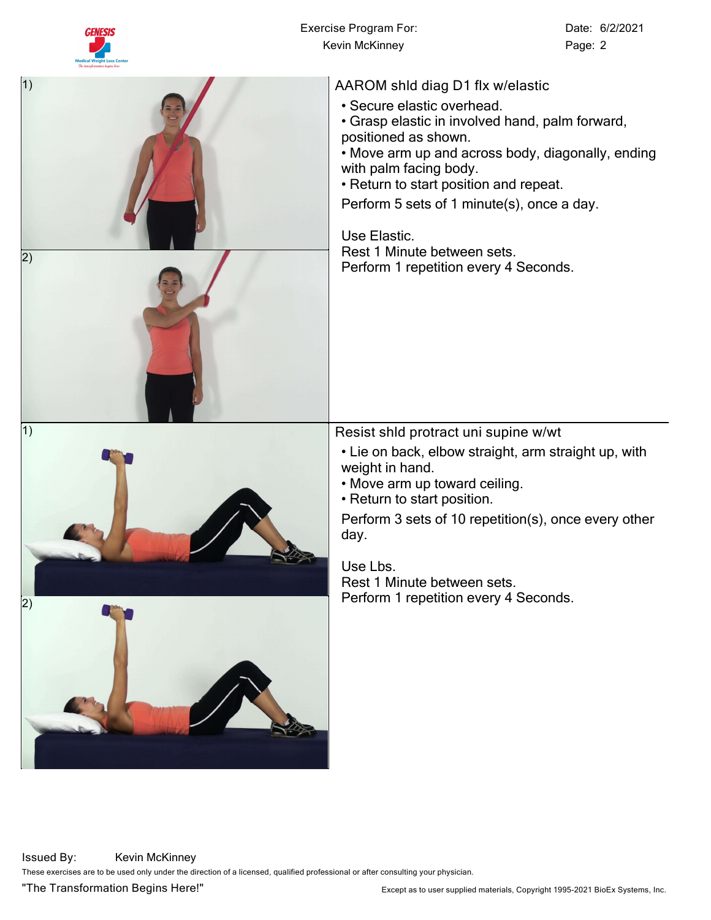

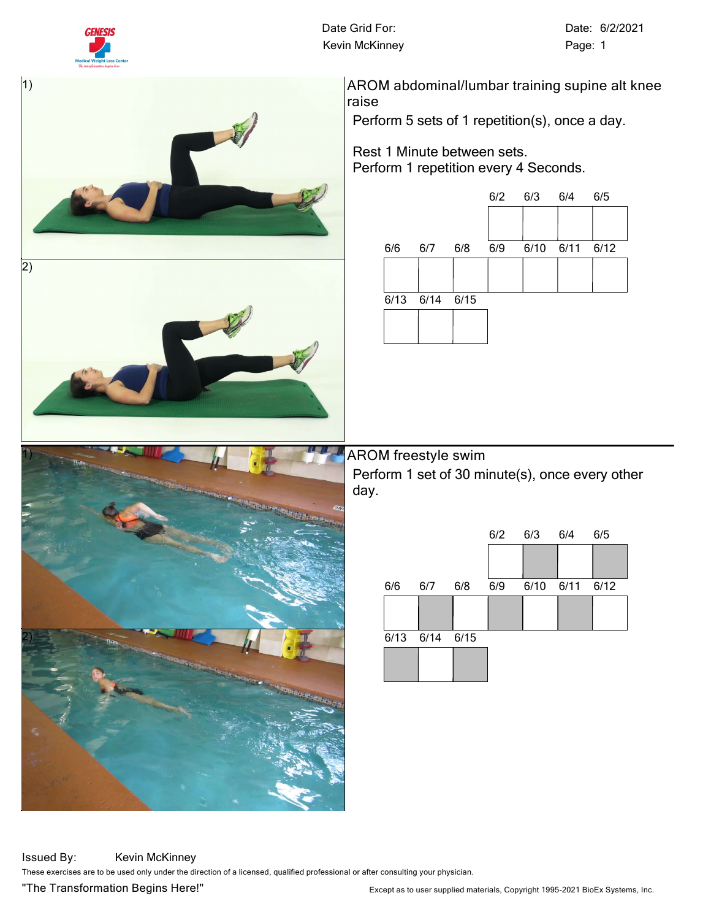

**Date Grid For:** Date: 6/2/2021 Kevin McKinney **Page: 1** 



**AROM abdominal/lumbar training supine alt knee raise**

Perform 5 sets of 1 repetition(s), once a day.

## Rest 1 Minute between sets. Perform 1 repetition every 4 Seconds.



**AROM freestyle swim** Perform 1 set of 30 minute(s), once every other day.



**Issued By:** Kevin McKinney **These exercises are to be used only under the direction of a licensed, qualified professional or after consulting your physician.**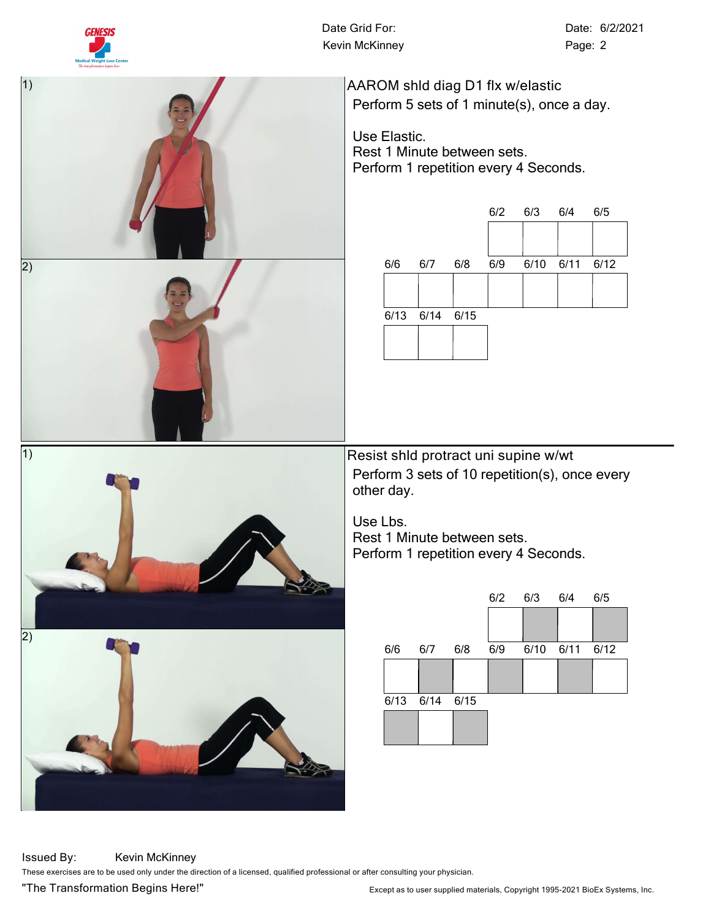

Kevin McKinney **Page: 2** 

**Date Grid For:** Date: 6/2/2021



**AAROM shld diag D1 flx w/elastic** Perform 5 sets of 1 minute(s), once a day.

Use Elastic. Rest 1 Minute between sets. Perform 1 repetition every 4 Seconds.



**Resist shld protract uni supine w/wt** Perform 3 sets of 10 repetition(s), once every other day.

Use Lbs. Rest 1 Minute between sets. Perform 1 repetition every 4 Seconds.



2)

**Issued By:** Kevin McKinney **These exercises are to be used only under the direction of a licensed, qualified professional or after consulting your physician.**